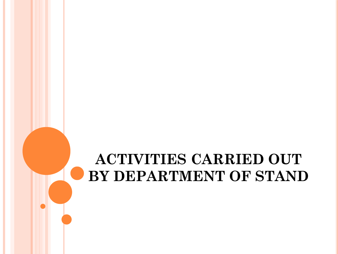# **ACTIVITIES CARRIED OUT BY DEPARTMENT OF STAND**

т,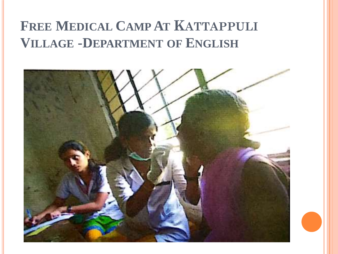# **FREE MEDICAL CAMP AT KATTAPPULI VILLAGE -DEPARTMENT OF ENGLISH**

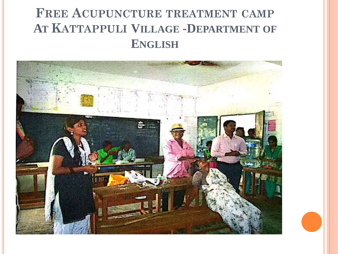## **FREE ACUPUNCTURE TREATMENT CAMP AT KATTAPPULI VILLAGE -DEPARTMENT OF ENGLISH**

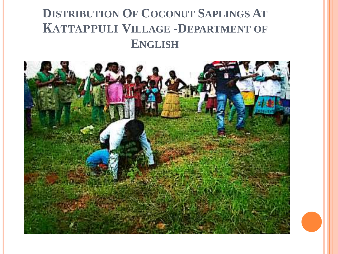## **DISTRIBUTION OF COCONUT SAPLINGS AT KATTAPPULI VILLAGE -DEPARTMENT OF ENGLISH**

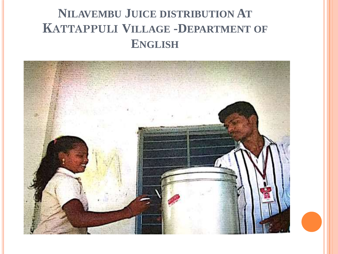## **NILAVEMBU JUICE DISTRIBUTION AT KATTAPPULI VILLAGE -DEPARTMENT OF ENGLISH**

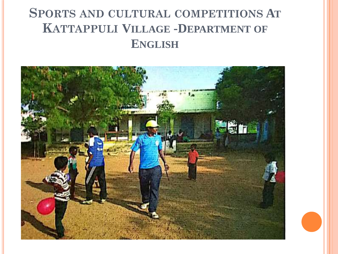## **SPORTS AND CULTURAL COMPETITIONS AT KATTAPPULI VILLAGE -DEPARTMENT OF ENGLISH**

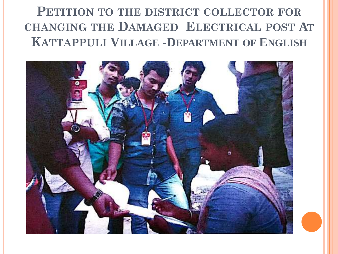## **PETITION TO THE DISTRICT COLLECTOR FOR CHANGING THE DAMAGED ELECTRICAL POST AT KATTAPPULI VILLAGE -DEPARTMENT OF ENGLISH**

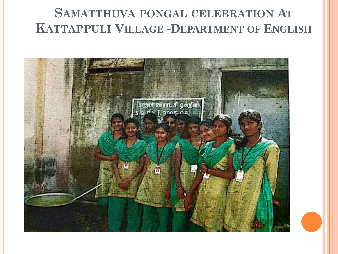## **SAMATTHUVA PONGAL CELEBRATION AT KATTAPPULI VILLAGE -DEPARTMENT OF ENGLISH**

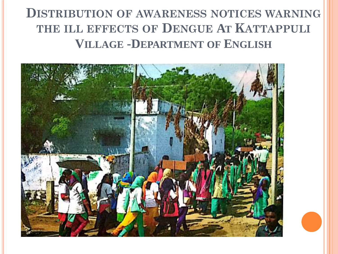### **DISTRIBUTION OF AWARENESS NOTICES WARNING THE ILL EFFECTS OF DENGUE AT KATTAPPULI VILLAGE -DEPARTMENT OF ENGLISH**

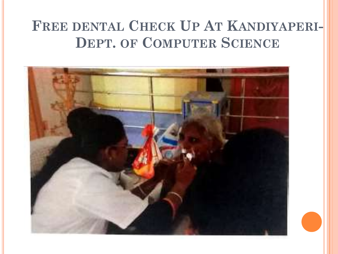# **FREE DENTAL CHECK UP AT KANDIYAPERI-DEPT. OF COMPUTER SCIENCE**

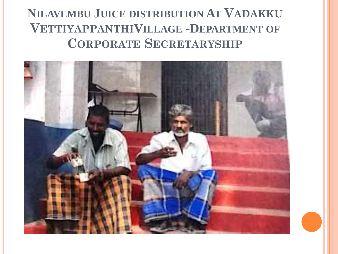## **NILAVEMBU JUICE DISTRIBUTION AT VADAKKU VETTIYAPPANTHIVILLAGE -DEPARTMENT OF CORPORATE SECRETARYSHIP**

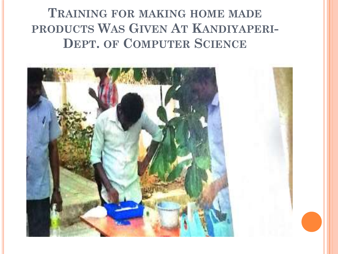## **TRAINING FOR MAKING HOME MADE PRODUCTS WAS GIVEN AT KANDIYAPERI-DEPT. OF COMPUTER SCIENCE**

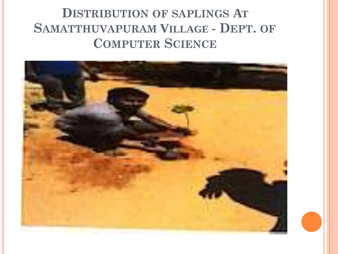## **DISTRIBUTION OF SAPLINGS AT SAMATTHUVAPURAM VILLAGE - DEPT. OF COMPUTER SCIENCE**

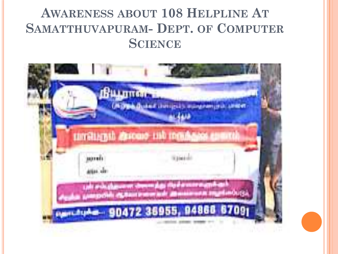## **AWARENESS ABOUT 108 HELPLINE AT SAMATTHUVAPURAM- DEPT. OF COMPUTER SCIENCE**

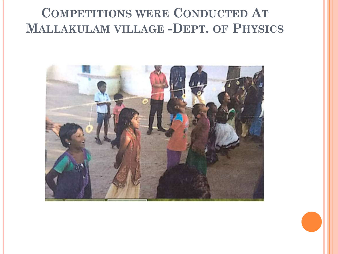#### **COMPETITIONS WERE CONDUCTED AT MALLAKULAM VILLAGE -DEPT. OF PHYSICS**

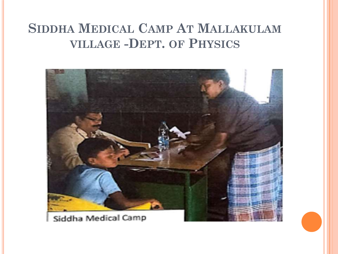#### **SIDDHA MEDICAL CAMP AT MALLAKULAM VILLAGE -DEPT. OF PHYSICS**

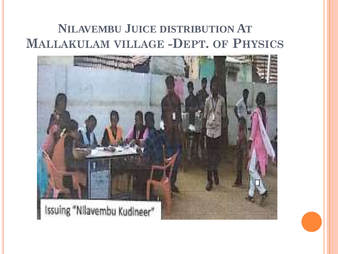#### **NILAVEMBU JUICE DISTRIBUTION AT MALLAKULAM VILLAGE -DEPT. OF PHYSICS**

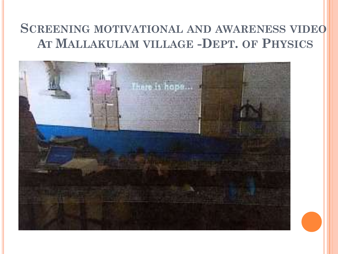#### **SCREENING MOTIVATIONAL AND AWARENESS VIDEO AT MALLAKULAM VILLAGE -DEPT. OF PHYSICS**

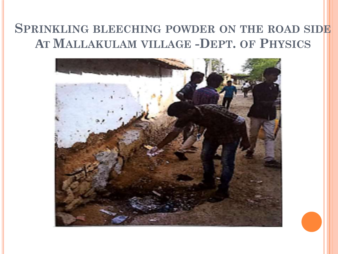#### **SPRINKLING BLEECHING POWDER ON THE ROAD SIDE AT MALLAKULAM VILLAGE -DEPT. OF PHYSICS**

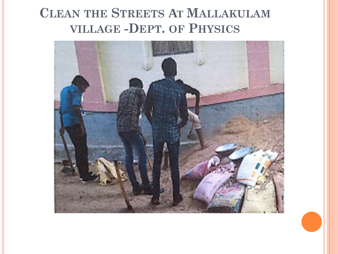## **CLEAN THE STREETS AT MALLAKULAM VILLAGE -DEPT. OF PHYSICS**

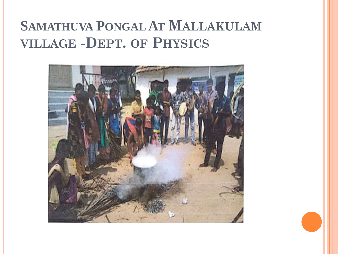# **SAMATHUVA PONGAL AT MALLAKULAM VILLAGE -DEPT. OF PHYSICS**

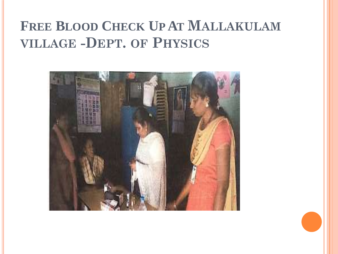# **FREE BLOOD CHECK UP AT MALLAKULAM VILLAGE -DEPT. OF PHYSICS**

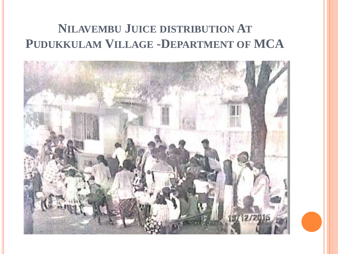## **NILAVEMBU JUICE DISTRIBUTION AT PUDUKKULAM VILLAGE -DEPARTMENT OF MCA**

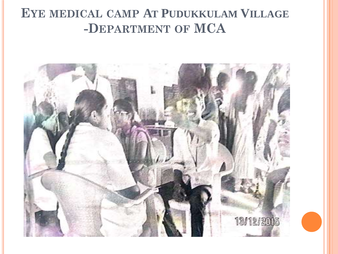#### **EYE MEDICAL CAMP AT PUDUKKULAM VILLAGE -DEPARTMENT OF MCA**

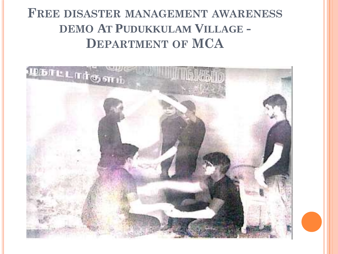#### **FREE DISASTER MANAGEMENT AWARENESS DEMO AT PUDUKKULAM VILLAGE - DEPARTMENT OF MCA**

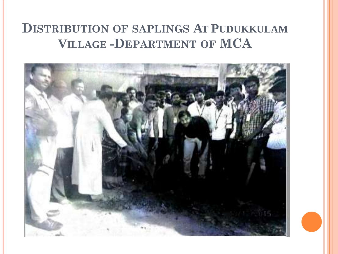#### **DISTRIBUTION OF SAPLINGS AT PUDUKKULAM VILLAGE -DEPARTMENT OF MCA**

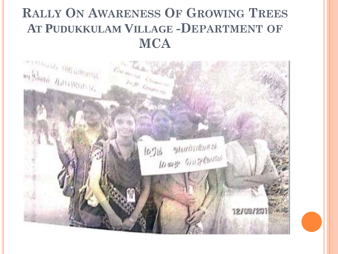## **RALLY ON AWARENESS OF GROWING TREES AT PUDUKKULAM VILLAGE -DEPARTMENT OF MCA**

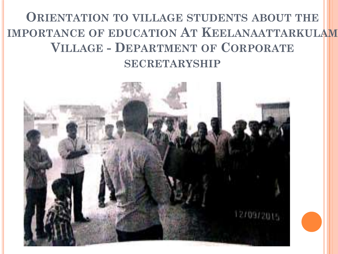## **ORIENTATION TO VILLAGE STUDENTS ABOUT THE IMPORTANCE OF EDUCATION AT KEELANAATTARKULAM VILLAGE - DEPARTMENT OF CORPORATE SECRETARYSHIP**